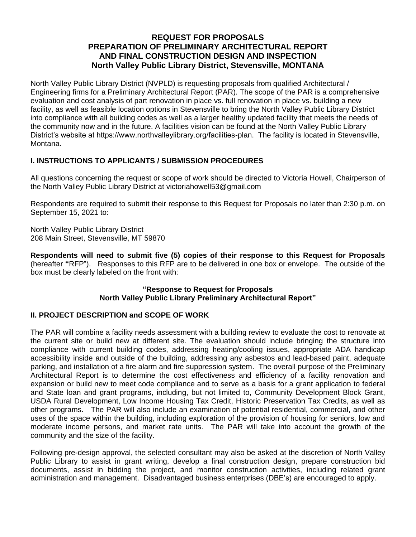# **REQUEST FOR PROPOSALS PREPARATION OF PRELIMINARY ARCHITECTURAL REPORT AND FINAL CONSTRUCTION DESIGN AND INSPECTION North Valley Public Library District, Stevensville, MONTANA**

North Valley Public Library District (NVPLD) is requesting proposals from qualified Architectural / Engineering firms for a Preliminary Architectural Report (PAR). The scope of the PAR is a comprehensive evaluation and cost analysis of part renovation in place vs. full renovation in place vs. building a new facility, as well as feasible location options in Stevensville to bring the North Valley Public Library District into compliance with all building codes as well as a larger healthy updated facility that meets the needs of the community now and in the future. A facilities vision can be found at the North Valley Public Library District's website at https://www.northvalleylibrary.org/facilities-plan. The facility is located in Stevensville, Montana.

# **I. INSTRUCTIONS TO APPLICANTS / SUBMISSION PROCEDURES**

All questions concerning the request or scope of work should be directed to Victoria Howell, Chairperson of the North Valley Public Library District at victoriahowell53@gmail.com

Respondents are required to submit their response to this Request for Proposals no later than 2:30 p.m. on September 15, 2021 to:

North Valley Public Library District 208 Main Street, Stevensville, MT 59870

**Respondents will need to submit five (5) copies of their response to this Request for Proposals** (hereafter **"**RFP").Responses to this RFP are to be delivered in one box or envelope. The outside of the box must be clearly labeled on the front with:

# **"Response to Request for Proposals North Valley Public Library Preliminary Architectural Report"**

# **II. PROJECT DESCRIPTION and SCOPE OF WORK**

The PAR will combine a facility needs assessment with a building review to evaluate the cost to renovate at the current site or build new at different site. The evaluation should include bringing the structure into compliance with current building codes, addressing heating/cooling issues, appropriate ADA handicap accessibility inside and outside of the building, addressing any asbestos and lead-based paint, adequate parking, and installation of a fire alarm and fire suppression system. The overall purpose of the Preliminary Architectural Report is to determine the cost effectiveness and efficiency of a facility renovation and expansion or build new to meet code compliance and to serve as a basis for a grant application to federal and State loan and grant programs, including, but not limited to, Community Development Block Grant, USDA Rural Development, Low Income Housing Tax Credit, Historic Preservation Tax Credits, as well as other programs. The PAR will also include an examination of potential residential, commercial, and other uses of the space within the building, including exploration of the provision of housing for seniors, low and moderate income persons, and market rate units. The PAR will take into account the growth of the community and the size of the facility.

Following pre-design approval, the selected consultant may also be asked at the discretion of North Valley Public Library to assist in grant writing, develop a final construction design, prepare construction bid documents, assist in bidding the project, and monitor construction activities, including related grant administration and management. Disadvantaged business enterprises (DBE's) are encouraged to apply.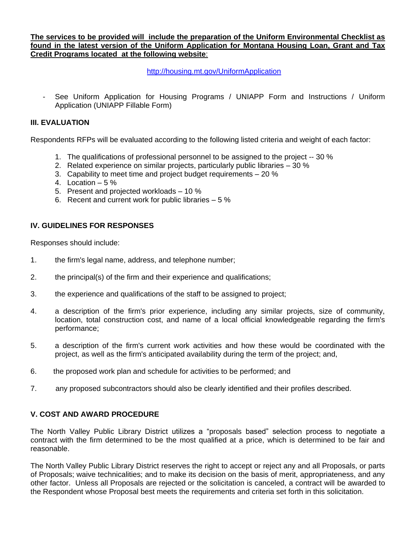**The services to be provided will include the preparation of the Uniform Environmental Checklist as found in the latest version of the Uniform Application for Montana Housing Loan, Grant and Tax Credit Programs located at the following website**:

<http://housing.mt.gov/UniformApplication>

See Uniform Application for Housing Programs / UNIAPP Form and Instructions / Uniform Application (UNIAPP Fillable Form)

## **III. EVALUATION**

Respondents RFPs will be evaluated according to the following listed criteria and weight of each factor:

- 1. The qualifications of professional personnel to be assigned to the project -- 30 %
- 2. Related experience on similar projects, particularly public libraries 30 %
- 3. Capability to meet time and project budget requirements 20 %
- 4. Location  $-5\%$
- 5. Present and projected workloads 10 %
- 6. Recent and current work for public libraries 5 %

## **IV. GUIDELINES FOR RESPONSES**

Responses should include:

- 1. the firm's legal name, address, and telephone number;
- 2. the principal(s) of the firm and their experience and qualifications;
- 3. the experience and qualifications of the staff to be assigned to project;
- 4. a description of the firm's prior experience, including any similar projects, size of community, location, total construction cost, and name of a local official knowledgeable regarding the firm's performance;
- 5. a description of the firm's current work activities and how these would be coordinated with the project, as well as the firm's anticipated availability during the term of the project; and,
- 6. the proposed work plan and schedule for activities to be performed; and
- 7. any proposed subcontractors should also be clearly identified and their profiles described.

## **V. COST AND AWARD PROCEDURE**

The North Valley Public Library District utilizes a "proposals based" selection process to negotiate a contract with the firm determined to be the most qualified at a price, which is determined to be fair and reasonable.

The North Valley Public Library District reserves the right to accept or reject any and all Proposals, or parts of Proposals; waive technicalities; and to make its decision on the basis of merit, appropriateness, and any other factor. Unless all Proposals are rejected or the solicitation is canceled, a contract will be awarded to the Respondent whose Proposal best meets the requirements and criteria set forth in this solicitation.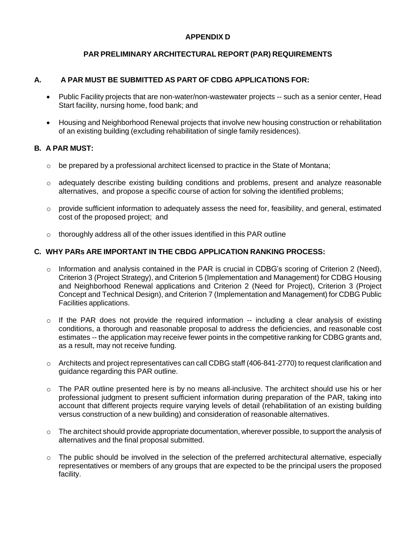# **APPENDIX D**

# **PAR PRELIMINARY ARCHITECTURAL REPORT (PAR) REQUIREMENTS**

# **A. A PAR MUST BE SUBMITTED AS PART OF CDBG APPLICATIONS FOR:**

- Public Facility projects that are non-water/non-wastewater projects -- such as a senior center, Head Start facility, nursing home, food bank; and
- Housing and Neighborhood Renewal projects that involve new housing construction or rehabilitation of an existing building (excluding rehabilitation of single family residences).

# **B. A PAR MUST:**

- $\circ$  be prepared by a professional architect licensed to practice in the State of Montana;
- o adequately describe existing building conditions and problems, present and analyze reasonable alternatives, and propose a specific course of action for solving the identified problems;
- o provide sufficient information to adequately assess the need for, feasibility, and general, estimated cost of the proposed project; and
- o thoroughly address all of the other issues identified in this PAR outline

# **C. WHY PARs ARE IMPORTANT IN THE CBDG APPLICATION RANKING PROCESS:**

- $\circ$  Information and analysis contained in the PAR is crucial in CDBG's scoring of Criterion 2 (Need), Criterion 3 (Project Strategy), and Criterion 5 (Implementation and Management) for CDBG Housing and Neighborhood Renewal applications and Criterion 2 (Need for Project), Criterion 3 (Project Concept and Technical Design), and Criterion 7 (Implementation and Management) for CDBG Public Facilities applications.
- o If the PAR does not provide the required information -- including a clear analysis of existing conditions, a thorough and reasonable proposal to address the deficiencies, and reasonable cost estimates -- the application may receive fewer points in the competitive ranking for CDBG grants and, as a result, may not receive funding.
- $\circ$  Architects and project representatives can call CDBG staff (406-841-2770) to request clarification and guidance regarding this PAR outline.
- $\circ$  The PAR outline presented here is by no means all-inclusive. The architect should use his or her professional judgment to present sufficient information during preparation of the PAR, taking into account that different projects require varying levels of detail (rehabilitation of an existing building versus construction of a new building) and consideration of reasonable alternatives.
- $\circ$  The architect should provide appropriate documentation, wherever possible, to support the analysis of alternatives and the final proposal submitted.
- o The public should be involved in the selection of the preferred architectural alternative, especially representatives or members of any groups that are expected to be the principal users the proposed facility.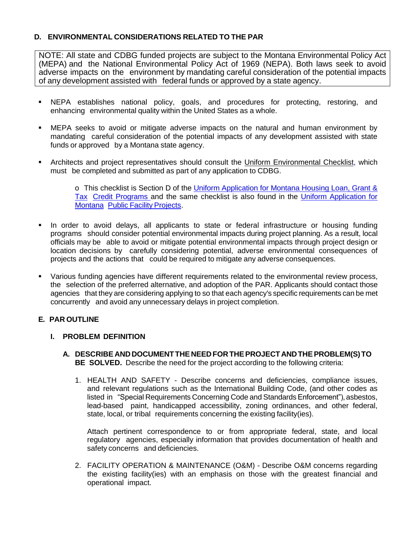# **D. ENVIRONMENTAL CONSIDERATIONS RELATED TO THE PAR**

NOTE: All state and CDBG funded projects are subject to the Montana Environmental Policy Act (MEPA) and the National Environmental Policy Act of 1969 (NEPA). Both laws seek to avoid adverse impacts on the environment by mandating careful consideration of the potential impacts of any development assisted with federal funds or approved by a state agency.

- NEPA establishes national policy, goals, and procedures for protecting, restoring, and enhancing environmental quality within the United States as a whole.
- MEPA seeks to avoid or mitigate adverse impacts on the natural and human environment by mandating careful consideration of the potential impacts of any development assisted with state funds or approved by a Montana state agency.
- Architects and project representatives should consult the Uniform Environmental Checklist, which must be completed and submitted as part of any application to CDBG.

o This checklist is Section D of the [Uniform Application for](http://housing.mt.gov/FAR/housingapps.mcpx) Montana Housing Loan, Grant & [Tax](http://housing.mt.gov/FAR/housingapps.mcpx) Credit [Programs](http://housing.mt.gov/FAR/housingapps.mcpx) and the same checklist is also found in the Uniform [Application](http://dnrc.mt.gov/cardd/ResourceDevelopment/wasact/Docs/2011uniformapplicationbinder.pdf) for [Montana](http://dnrc.mt.gov/cardd/ResourceDevelopment/wasact/Docs/2011uniformapplicationbinder.pdf) Public Facility [Projects.](http://dnrc.mt.gov/cardd/ResourceDevelopment/wasact/Docs/2011uniformapplicationbinder.pdf)

- In order to avoid delays, all applicants to state or federal infrastructure or housing funding programs should consider potential environmental impacts during project planning. As a result, local officials may be able to avoid or mitigate potential environmental impacts through project design or location decisions by carefully considering potential, adverse environmental consequences of projects and the actions that could be required to mitigate any adverse consequences.
- Various funding agencies have different requirements related to the environmental review process, the selection of the preferred alternative, and adoption of the PAR. Applicants should contact those agencies that they are considering applying to so that each agency's specific requirements can be met concurrently and avoid any unnecessary delays in project completion.

## **E. PAR OUTLINE**

## **I. PROBLEM DEFINITION**

- **A. DESCRIBE ANDDOCUMENTTHE NEEDFOR THEPROJECTANDTHEPROBLEM(S)TO BE SOLVED.** Describe the need for the project according to the following criteria:
	- 1. HEALTH AND SAFETY Describe concerns and deficiencies, compliance issues, and relevant regulations such as the International Building Code, (and other codes as listed in "Special Requirements Concerning Code and Standards Enforcement"), asbestos, lead-based paint, handicapped accessibility, zoning ordinances, and other federal, state, local, or tribal requirements concerning the existing facility(ies).

Attach pertinent correspondence to or from appropriate federal, state, and local regulatory agencies, especially information that provides documentation of health and safety concerns and deficiencies.

2. FACILITY OPERATION & MAINTENANCE (O&M) - Describe O&M concerns regarding the existing facility(ies) with an emphasis on those with the greatest financial and operational impact.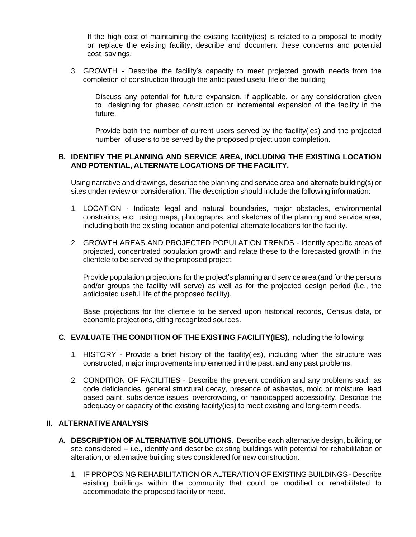If the high cost of maintaining the existing facility(ies) is related to a proposal to modify or replace the existing facility, describe and document these concerns and potential cost savings.

3. GROWTH - Describe the facility's capacity to meet projected growth needs from the completion of construction through the anticipated useful life of the building

Discuss any potential for future expansion, if applicable, or any consideration given to designing for phased construction or incremental expansion of the facility in the future.

Provide both the number of current users served by the facility(ies) and the projected number of users to be served by the proposed project upon completion.

#### **B. IDENTIFY THE PLANNING AND SERVICE AREA, INCLUDING THE EXISTING LOCATION AND POTENTIAL, ALTERNATE LOCATIONS OF THE FACILITY.**

Using narrative and drawings, describe the planning and service area and alternate building(s) or sites under review or consideration. The description should include the following information:

- 1. LOCATION Indicate legal and natural boundaries, major obstacles, environmental constraints, etc., using maps, photographs, and sketches of the planning and service area, including both the existing location and potential alternate locations for the facility.
- 2. GROWTH AREAS AND PROJECTED POPULATION TRENDS Identify specific areas of projected, concentrated population growth and relate these to the forecasted growth in the clientele to be served by the proposed project.

Provide population projections for the project's planning and service area (and for the persons and/or groups the facility will serve) as well as for the projected design period (i.e., the anticipated useful life of the proposed facility).

Base projections for the clientele to be served upon historical records, Census data, or economic projections, citing recognized sources.

#### **C. EVALUATE THE CONDITION OF THE EXISTING FACILITY(IES)**, including the following:

- 1. HISTORY Provide a brief history of the facility(ies), including when the structure was constructed, major improvements implemented in the past, and any past problems.
- 2. CONDITION OF FACILITIES Describe the present condition and any problems such as code deficiencies, general structural decay, presence of asbestos, mold or moisture, lead based paint, subsidence issues, overcrowding, or handicapped accessibility. Describe the adequacy or capacity of the existing facility(ies) to meet existing and long-term needs.

#### **II. ALTERNATIVE ANALYSIS**

- **A. DESCRIPTION OF ALTERNATIVE SOLUTIONS.** Describe each alternative design, building, or site considered -- i.e., identify and describe existing buildings with potential for rehabilitation or alteration, or alternative building sites considered for new construction.
	- 1. IF PROPOSING REHABILITATION OR ALTERATION OF EXISTING BUILDINGS Describe existing buildings within the community that could be modified or rehabilitated to accommodate the proposed facility or need.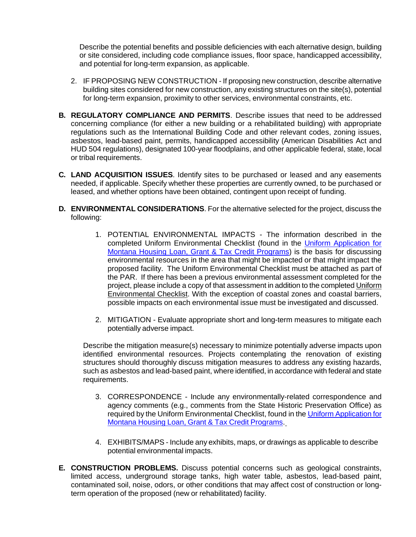Describe the potential benefits and possible deficiencies with each alternative design, building or site considered, including code compliance issues, floor space, handicapped accessibility, and potential for long-term expansion, as applicable.

- 2. IF PROPOSING NEW CONSTRUCTION If proposing new construction, describe alternative building sites considered for new construction, any existing structures on the site(s), potential for long-term expansion, proximity to other services, environmental constraints, etc.
- **B. REGULATORY COMPLIANCE AND PERMITS**. Describe issues that need to be addressed concerning compliance (for either a new building or a rehabilitated building) with appropriate regulations such as the International Building Code and other relevant codes, zoning issues, asbestos, lead-based paint, permits, handicapped accessibility (American Disabilities Act and HUD 504 regulations), designated 100-year floodplains, and other applicable federal, state, local or tribal requirements.
- **C. LAND ACQUISITION ISSUES**. Identify sites to be purchased or leased and any easements needed, if applicable. Specify whether these properties are currently owned, to be purchased or leased, and whether options have been obtained, contingent upon receipt of funding.
- **D. ENVIRONMENTAL CONSIDERATIONS**. For the alternative selected for the project, discuss the following:
	- 1. POTENTIAL ENVIRONMENTAL IMPACTS The information described in the completed Uniform Environmental Checklist (found in the Uniform [Application](http://housing.mt.gov/FAR/housingapps.mcpx) for Montana Housing Loan, Grant & Tax Credit [Programs\)](http://housing.mt.gov/FAR/housingapps.mcpx) is the basis for discussing environmental resources in the area that might be impacted or that might impact the proposed facility. The Uniform Environmental Checklist must be attached as part of the PAR. If there has been a previous environmental assessment completed for the project, please include a copy of that assessment in addition to the completed Uniform Environmental Checklist. With the exception of coastal zones and coastal barriers, possible impacts on each environmental issue must be investigated and discussed.
	- 2. MITIGATION Evaluate appropriate short and long-term measures to mitigate each potentially adverse impact.

Describe the mitigation measure(s) necessary to minimize potentially adverse impacts upon identified environmental resources. Projects contemplating the renovation of existing structures should thoroughly discuss mitigation measures to address any existing hazards, such as asbestos and lead-based paint, where identified, in accordance with federal and state requirements.

- 3. CORRESPONDENCE Include any environmentally-related correspondence and agency comments (e.g., comments from the State Historic Preservation Office) as required by the Uniform Environmental Checklist, found in the Uniform [Application](http://housing.mt.gov/FAR/housingapps.mcpx) for Montana Housing Loan, Grant & Tax Credit [Programs.](http://housing.mt.gov/FAR/housingapps.mcpx)
- 4. EXHIBITS/MAPS Include any exhibits, maps, or drawings as applicable to describe potential environmental impacts.
- **E. CONSTRUCTION PROBLEMS.** Discuss potential concerns such as geological constraints, limited access, underground storage tanks, high water table, asbestos, lead-based paint, contaminated soil, noise, odors, or other conditions that may affect cost of construction or longterm operation of the proposed (new or rehabilitated) facility.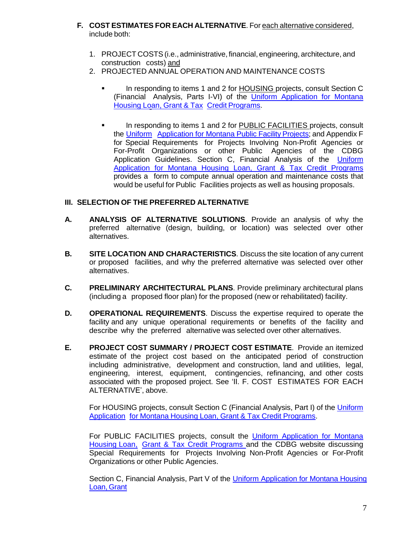- **F. COST ESTIMATES FOR EACH ALTERNATIVE**. For each alternative considered, include both:
	- 1. PROJECT COSTS(i.e., administrative, financial, engineering, architecture, and construction costs) and
	- 2. PROJECTED ANNUAL OPERATION AND MAINTENANCE COSTS
		- In responding to items 1 and 2 for **HOUSING** projects, consult Section C (Financial Analysis, Parts I-VI) of the *Uniform [Application](http://housing.mt.gov/FAR/housingapps.mcpx) for Montana* [Housing](http://housing.mt.gov/FAR/housingapps.mcpx) Loan, Grant & Tax Credit [Programs.](http://housing.mt.gov/FAR/housingapps.mcpx)
		- In responding to items 1 and 2 for PUBLIC FACILITIES projects, consult the [Uniform](http://dnrc.mt.gov/cardd/ResourceDevelopment/wasact/Docs/2011uniformapplicationbinder.pdf) [Application](http://dnrc.mt.gov/cardd/ResourceDevelopment/wasact/Docs/2011uniformapplicationbinder.pdf) for Montana Public Facility Projects; and Appendix F for Special Requirements for Projects Involving Non-Profit Agencies or For-Profit Organizations or other Public Agencies of the CDBG Application Guidelines. Section C, Financial Analysis of the [Uniform](http://housing.mt.gov/FAR/housingapps.mcpx) [Application](http://housing.mt.gov/FAR/housingapps.mcpx) for Montana Housing Loan, Grant & Tax Credit Programs provides a form to compute annual operation and maintenance costs that would be useful for Public Facilities projects as well as housing proposals.

## **III. SELECTION OF THE PREFERRED ALTERNATIVE**

- **A. ANALYSIS OF ALTERNATIVE SOLUTIONS**. Provide an analysis of why the preferred alternative (design, building, or location) was selected over other alternatives.
- **B. SITE LOCATION AND CHARACTERISTICS**. Discuss the site location of any current or proposed facilities, and why the preferred alternative was selected over other alternatives.
- **C. PRELIMINARY ARCHITECTURAL PLANS**. Provide preliminary architectural plans (including a proposed floor plan) for the proposed (new or rehabilitated) facility.
- **D. OPERATIONAL REQUIREMENTS**. Discuss the expertise required to operate the facility and any unique operational requirements or benefits of the facility and describe why the preferred alternative was selected over other alternatives.
- **E. PROJECT COST SUMMARY / PROJECT COST ESTIMATE**. Provide an itemized estimate of the project cost based on the anticipated period of construction including administrative, development and construction, land and utilities, legal, engineering, interest, equipment, contingencies, refinancing, and other costs associated with the proposed project. See 'II. F. COST ESTIMATES FOR EACH ALTERNATIVE', above.

For HOUSING projects, consult Section C (Financial Analysis, Part I) of the [Uniform](http://housing.mt.gov/FAR/housingapps.mcpx) [Application](http://housing.mt.gov/FAR/housingapps.mcpx) for Montana Housing Loan, Grant & Tax Credit [Programs.](http://housing.mt.gov/FAR/housingapps.mcpx)

For PUBLIC FACILITIES projects, consult the Uniform [Application](http://housing.mt.gov/FAR/housingapps.mcpx) for Montana [Housing](http://housing.mt.gov/FAR/housingapps.mcpx) Loan, Grant & Tax Credit [Programs](http://housing.mt.gov/FAR/housingapps.mcpx) and the CDBG website discussing Special Requirements for Projects Involving Non-Profit Agencies or For-Profit Organizations or other Public Agencies.

Section C, Financial Analysis, Part V of the Uniform [Application](http://housing.mt.gov/FAR/housingapps.mcpx) for Montana Housing [Loan,](http://housing.mt.gov/FAR/housingapps.mcpx) Grant